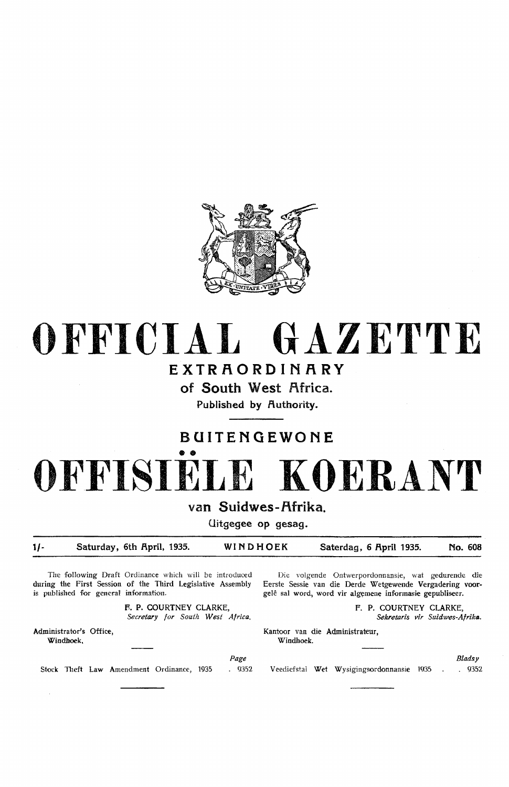

# **OFFICIAL GAZETTE**

## **EXTRAORDINARY**

of South West Africa.

Published by Authority.

## **BOITENGEWONE**

# •• **OFFISIELE KOERANT**

van Suidwes-Afrika.

Uitgegee op gesag.

**1/- Saturday, 6th April, 1935. WINDHOEK Saterdag, 6 April 1935. No. 608** 

The following Draft Ordinance which will be introduced during the First Session of the Third Legislative Assembly is published for general information.

> **F-. P. COURTNEY** CLARKE, *Secretary for South West Africa.*

Administrator's Office, **Windhoek,** 

 $\sim$ 

Die volgende Ontwerpordonnansie, wat gedurende die Eerste Sessie van die Derde Wetgewende Vergadering voorgelê sal word, word vir algemene informasie gepubliseer.

> F. P. COURTNEY CLARKE, *Sekretaris vir Suidwes-Afrika.*

Kantoor van die Administrateur, Windhoek.

Page

Stock Theft Law Amendment Ordinance, 1935 . 9352

Veediefstal Wet Wysigingsordonnansie 1Q35

*Bladsy*  . 9352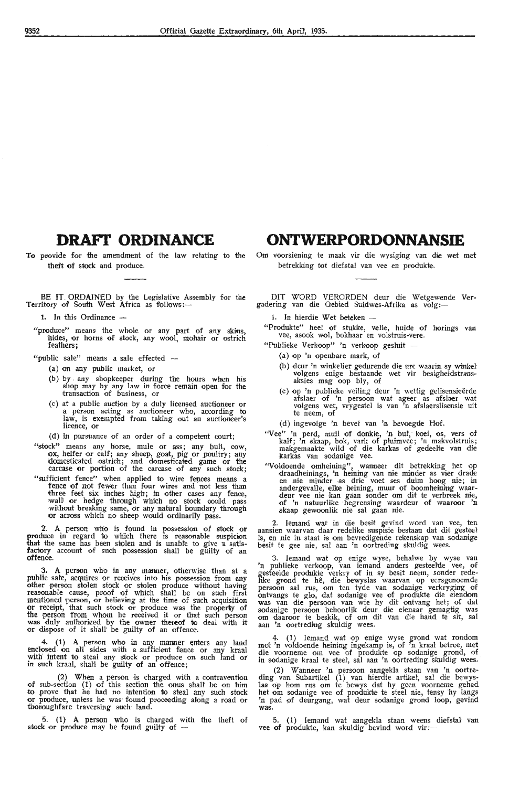### **DRAFI' ORDINANCE**

To provide for the amendment of the law relating to the theft of stock and produce.

BE IT. ORDAINED by the Legislative Assembly for the Territory of South West Africa as follows:-

1. In this Ordinance --

"produce" means the whole or any part of any skins, hides, or horns of stock, any wool, mohair or ostrich feathers;

"public sale" means a sale effected -

- (a) on any public market, or
- (b) by . any shopkeeper during the hours when his shop may by any law in force remain open for the transaction of business, or
- (c) at a public auction by a duly licensed auctioneer **or**  a person acting as auctioneer who, according to law, is exempted from taking out an auctioneer's licence, or
- (d) in pursuance of an order of a competent court;
- "stock" means any horse, mule or ass; any bull, cow, ox, heifer or calf; any sheep, goat, pig or poultry; any domesticated ostrich; and domesticated game or the carcase or portion of the carcase of any such stock;
- "sufficient fence" when applied to wire fences means a fence of not fewer than four wires and not less than ithree feet six inches high; in other cases any fience, walli or hedge through which no stock could pass without breaking same, or any natural boundary through or across which no sheep would ordinarily pass.

**2. A** person who is found in possession of stock **or**  produce in regard to which there is reasonable suspicion that the same has been stolen and is unable to give a satisfactory account of such possession shall be guilty of an offence.

3. A person who in any manner, otherwise than at a public sale, acquires or receives into his possession from any other person stolen stock or stolen produce without having reasonable cause, pmof of which shall be on such first mentioned person, or believing at the time of such acquisition or receipt, that such stock or produce was the property of the person from whom he received it or that such person was duly authorized by the owner thereof to deal' with it or dispose of it shall be guilty of an offence.

4. (1) A person who in any manner enters any land enclosed on all sides with a sufficient fence or any kraal with intent to steal any stock or produce on such land or in such kraal, shall be guilty of an offence;

(2) When a person is charged with a contravention of sub-section (1) of this section the onus shall be on him to prove that he had no intention to steal any such stock or produce, unless he was found proceeding along a road or thoroughfare traversing such land.

5. (1) A person who is charged with the theft of stock or produce may be found guilty of  $-$ 

#### **ONTWERPORDONNANSIE**

Om voorsiening te maak vir die wysiging van die wet met betrekking tot diefstal van vee en produkte.

DIT WORD VERORDEN deur die Wetgewende **Ver**gadering van die Oebied Suidwes-Afrika as volg:-

1. In hierdie Wet beteken -

"Produkte" heel of stukke, velle, huide of horings van vee, asook wol, bokhaar en volstruis-vere.

- "Publieke Verkoop" 'n verkoop gesluit -
	- (a) op 'n openbare mark, of
	- (b) deur 'n winkelier gedurende die ure waarin sy winkel volgens enige bestaande wet vir besigheidstransaksies mag oop bly, of
	- (c) op 'n publieke veiling deur 'n wettig gelisensieërde afslaer of 'n persoon wat ageer as afslaer wat volgens wet, vrygestel is van 'n afslaerslisensie uit te neem, of

(d) ingevolge 'n bevel- van 'n bevoegde Hof.

- "Vee'' 'n perd, muil of donkie, 'n bul, koei, os, vers of kalf; 'n skaap, bok, vark of pluimvee; 'n makvolstruis; makgemaakte wild of die karkas of gedeelte van die karkas van sodanige vee.
- "Voldoende omheining", wanneer dit betrekking het op draadheinings, 'n heining van nie minder as vier drade<br>en nie minder as drie voet ses duim hoog nie; in andergevalle, elke heining, muur of boomheining waar- deur vee nie kan gaan sonder om dit te verbreek nie, of 'n natuurlike begrensing waardeur of waaroor 'n skaap gewoonlik nie sal gaan nie.

2. Iemand wat in die besit gevind word van vee, ten aansien waarvan daar redelike suspisie bestaan dat dit gesteel is, en nie in staat is om bevredigende rekenskap van sodanige besit te gee nie, sal aan 'n oortreding skuldig wees.

3. lemand wat op enige wyse, behalwe by wyse van 'n publieke verkoop, van iemand anders gesteelde vee, of gesteelde produkte verkry of in sy besit neem, sonder redelike grond te hê, die bewyslas waarvan op eersgenoemde persoon sal rus, om ten tyde van sodanige verkryging of ontvangs te glo, dat sodanige vee of produkte die eiendom<br>was van die persoon van wie hy dit ontvang het; of dat sodanige persoon behoorlik deur die eienaar gemagtig was om daaroor te beskik, of om dit van die hand te sit, sal aan 'n oortreding skuldig wees.

4. (1) lemand wat op enige wyse grond wat rondom met 'n voldoende heining ingekamp is, of 'n kraal betree, met die voorneme om vee of produkte op sodanige grond, of in sodanige kraal te steel, sal aan 'n oortreding skuldig wees.

(2) Wanneer 'n persoon aangekla staan van 'n oortreding van Subartikel (1) van hierdie artikel, sal die bewyslas op hom rus om te bewys dat hy geen voorneme gehad het om sodanige vee of produkte te steel nie, tensy ·hy langs 'n pad :of deurgang, wat deur sodanige grond loop, gevind **was.** 

·5. (1) Iemand wat aangekla staan weens diefstal van vee of produkte, kan skuldig bevind word vir:-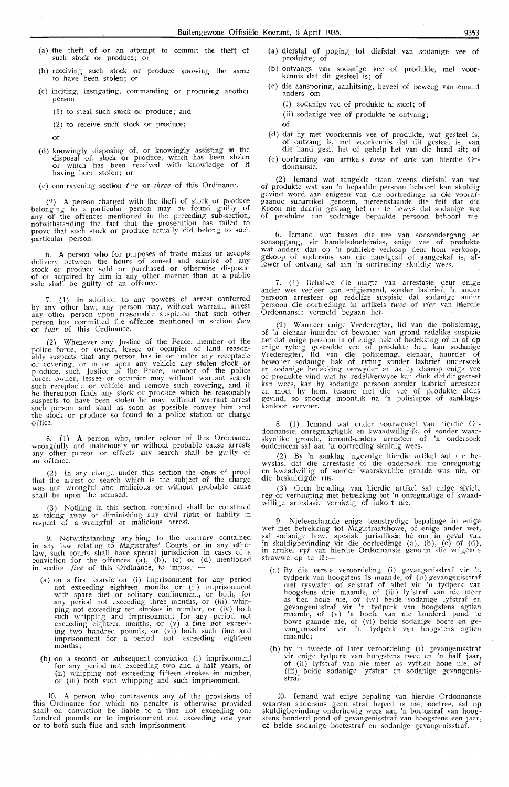- (a) the theft of or an attempt to commit the theft of such stock or produce; or
- (b) receiving such stock or produce knowing the same to have been stolen; or
- (c) inciting, instigating, commanding or procuring another person
	- ( 1) to steal such stock or produce; and
	- (2) to receive such stock or produce;

or

- (d) knowingly disposing of, or knowingly assisting in the disposal of, stock or produce, which has been stolen or which has been received with knowledge of it having been stolen; or
- (e) contravening section  $two$  or three of this Ordinance.

(2) A person charged with the theft of stock or produae belonging to a particular person may be found guilty of any of the offences mentioned in the preceding sub-section, notwithstanding the fact that the prosecution has failed to prove that such stock or pmduce actually did belong to such particular person.

6. **A** person who for purposes of trade makes or accepts delivery between the hours of sunset and sunrise of any stock or produce sold or purchased or otherwise disposed of or acquired **by** him in any other manner than at a public sale shall be guilty of an offence.

7. (1) In addition to any powers of arrest conferred by any other law, any person may, without warrant, arrest any other person upon reasonable suspicion that such other person has committed the offence mentioned In section *¢wo*  or four of this Ordinance.

(2) Whenever any Justice of the Peace, member of the police force, or owner, Lessee or occupier of land reason- ably suspects that any person has in or under any receptacle or covering, or in or upon any vehicle any stolen stock or produce, such Justice of the Peace, member of the police force, owner, lessee· or occupier may without warrant search such receptacle or vehicle and remove such covering, and if he thereupon finds any stock or produce which he reasonably suspects to have been stolen he may without warrant arrest such person and shall as soon as possible convey him and the stock or produce so found to a police station or charge office.

8. ( 1) A person who, under colour of this Ordinance, wrongfully and maliciously or without probable cause arrests any other person or effects any search shall be guilty of an offence.

(2) that the was not shall be upon the accused. In any charge under this section the onus of proof arrest or search which is the subject of the charge wrongful and malicious or without probable cause

(3) Nothing in this section contained shall be construed as taking away or diminishing any civil right or liabilty in respect of a wrongful or malicious arrest.

9. Notwithstanding anything to the contrary contained in any law relating to Magistrates' Courts or .in any ,other law, such courts shall have special jurisdiction in cases of a conviction for the offences (a), (b), (c) or (d) mentioned in section *five* of this Ordinance, to impose -

- (a) on a first conviction (i) imprisonment for any period not exceeding eighteen months or (ii) imprisonment with spare diet .or solitary confinement, or both, for any period not exceeding three months, or (iii) whipping not exceeding ten strokes in number, or  $(iv)$  both such whipping and imprisonment for any period not exceeding eighteen months, or (v) a fine not exceeding two hundred pounds, or (vi) both such fine and imprisonment for a period not exceeding eighteen months;
- (b) on a second or subsequent conviction  $(i)$  imprisonment for any period not exceeding two and a half years, or (ii) whipping not exceeding fifteen strokes in number, or (iii) both such whipping and such imprisonment.

10. **A** person who contravenes any of the provisions of this Ordinance for which no penalty is otherwise provided shall on conviction be liable to a fine not exceeding one hundred pounds or to imprisonment not exceeding one year or to both such fine and such imprisonment.

- (a) diefsfal of poging tot diefstal van sodanige vee of produkte; of
- (b) ontvangs va:n sodanige vee of produkte, met voor- kennis <lat dit gesteel is; of
- (c) die aansporing, aanhitsing, beveel of beweeg van iemand anders om
	- ( i) sodanige vee of produkte te steel; of
	- (ii) sodanige vee of produkte te ontvang;
	- **of**
- (d) dat hy met voorkennis vee of produkte, wat gesteel is, of ontvang is, met voorkennis dat dit gesteel is, van die hand gesit het of gehelp het van die hand sit; of
- (e) oortreding van artikels twee of drie van hierdie Ordonnansie.

(2) Iemand wat aangekla staan weens diefstal van vee of produkte wat aan 'n bepaalde persoon behoort kan skuldig gevind word aan enigeen van die oortredinge in die voorafgaande subartikel genoem, nieteenstaande die feit dat die Kroon nie daarin geslaag het om te bewys dat sodanige vee<br>of produkte aan sodanige bepaalde persoon behoort nie.

6. lemand wat tmsen die ure van sonsondergang en sonsopgang, vir handelsdoeleindes, enig,2 vee of produkte wat anders dan op 'n publieke verkoop deur hom verkoop, gekoop of andersins van die handgesit of aangeskaf is, aflewer of ontvang sal aan 'n oortreding skuldig wees.

7. (1) Behalwe die magte van arrestasie deur enige ander wet verleen kan enigiemand, sonder lasbrief, 'n ander persoon arresteer op redelike suspisie dat sodanige ander persoon die oortredinge in artikels twee of vier van hierdie Ordonnansie vermeld begaan het.

(2) Wanneer enige Vrederegter, lid van due polisiemag, of 'n eienaar huurder of bewoner van grond redelike suspisie het dat enige persoon in of enige bak of bedekking of in of op enige rytuig gesteelde vee of produkte het, kan sodanige Vrederegter, lid van die polisiemag, eienaar, huurder of bewoner sodanige bak of rytuig sonder lasbrief ondersoek<br>en sodanige bedekking verwyder en as hy daarop enige vee<br>of produkte vind wat hy redelikerwyse kan dink dat dit gestael kan wees, kan hy sodanige persoon sonder lasbrief arresteer en moet hy hom, tesame met die vee of produkte aldus gevind, so spoedig moontlik na 'n polisiepos of aanklagskantoor vervoer.

8. (1) Iemand wat onder voorwensel van hierdie Ordonnansie, onregmagtiglik en kwaadwilliglik, of sonder waarskynlike gronde, iemand-anders arresteer of 'n ondersoek onderneem sal aan 'n oortreding skuldig wees.

(2) By 'n aanklag ingevolge hierdie artikel sal die bewyslas, dat die arrestasie of die ondersoek nie onregmatig<br>en kwaadwillig of sonder waarskynlike gronde was nie, op die beskuldigde rus. '

(3) Geen bepaling van hierdie artikel sal enige siviele reg of verpligting met betrekking tot 'n onregmatige of kwaadwillige arrestasie vernietig of inkort nie.

9. Nieteenstaande enige teenstrydige bepalinge in enige wet met betrekking tot Magishaatshowe, of enige ander wet, sal sodanige howe spesiale jurisdiksie hê om in geval van 'n skuldigbevinding vir die oortredinge (a), (b), (c) of (d), in artikel vyf van hierdie Ordonnansie genoem die volgende m artiker vyz van n<br>strawwe op te lê:--

- (a) By die eerste veroordeling (i) gevangenisstraf vir 'n tydperk van hoogstens 18 maande, of (ii) gevangenisstraf met ryswater of selstraf of albei vir 'n tydperk van hoogstens drie maande, of (iii) lyfstraf van nie meer<br>as tien houe nie, of (iv) beide sodanige lyfstraf en<br>gevangeni:straf vir 'n tydperk van hoogstens agtien maande, of (v) 'n boete van nie honderd pond te bowe gaande nie, of (vi) beide sodanige boete en gevangenisstraf vir 'n tydperk van hoogstens agtien maande;
- (b) by 'n tweede of later veroordeling (i) gevangenisstraf vir enige tydperk van hoogstens twee en 'n half jaar, of (ii) lyfstraf van nie meer as vyftien houe nie, of (iii) beide sodanige lyfstraf en sodanige gevangenisstraf.

10. Iemand wat enige bepaling van hierdie Ordonnansie waarvan andersins geen straf bepaal is nie, oortree, sal op skuldigbevinding onderhewig wees aan 'n boetestraf van hoog-<br>stens honderd pond of gevangenisstraf van hoogstens een jaar, of beide sodanige boetestraf en sodanige gevangenisstraf.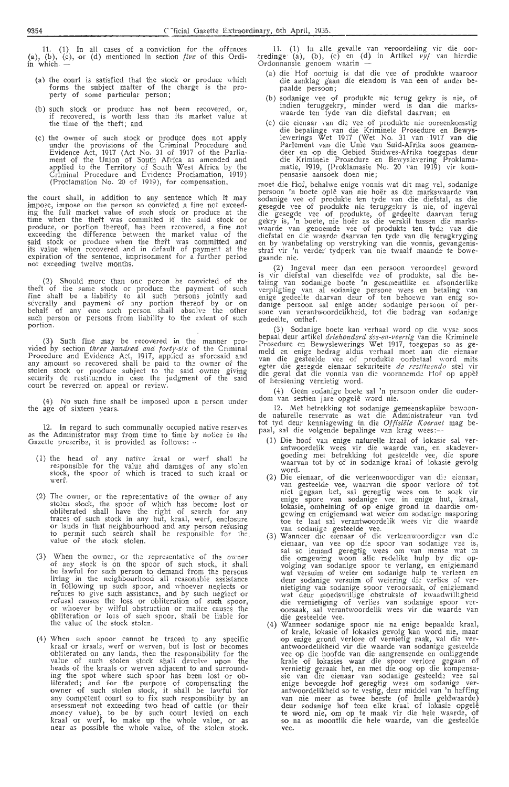11. (1) In all cases of a conviction for the offences<br>(a), (b), (c), or (d) mentioned in section *five* of this Ordi-<br>in which —

- (a) the court is satisfied that the stock or produce which forms the subject matter of the charge is the property of some particular person;
- (b) such stock or produce has not been recovered, or, if recovered, is worth less than its market value at the time of the theft; and
- (c) the owner of such stock or produce does not apply<br>under the provisions of the Criminal Procedure and<br>Evidence Act, 1917 (Act No. 31 of 1917 of the Parlia-<br>ment of the Union of South Africa as amended and ment or the Ohion of South Pitted as amounts of the<br>applied to the Territory of South West Africa by the<br>Criminal Procedure and Evidence Proclamation, 1919)<br>(Proclamation No. 20 of 1919), for compensation,

the court shall, in addition to any sentence which it may<br>impose, impose on the person so convicted a fine not exceed-<br>ing the full market value of such stock or produce at the<br>time when the theft was committed if the said not exceeding twelve months.

(2) Should more than one person be convicted of the theft of the same stock or produce the payment of such fine shall be a liability to all such persons jointly and severally and payment of any portion thereof by or on beh portion.

(3) Such fine may be recovered in the manner provided by section *three lundred and forty-six* of the Criminal<br>Procedure and Evidence *Act*, 1917, applied as aforesaid and<br>any amount so recovered shall be paid to the owner of the<br>stolen stock or produce subject to the

(4) No such fine shall be imposed upon a person under the age of sixteen years.

12. In regard to such communally occupied native reserves as the Administrator may from time to time by notice in the<br>Gazette prescribe, it is provided as follows: -

- (1) the head of any native kraal or werf shall be responsible for the value and damages of any stolen stock, the spoor of which is traced to such kraal or werf.
- (2) The owner, or the representative of the owner of any stolen stock, the spoor of which has become lost or obliterated shall have the right of search for any traces of such stock in any hut, kraal, werf, enclosure or lands in that neighbourhood and any person refusing<br>to permit such search shall be responsible for the value of the stock stolen.
- (3) When the owner, or the representative of the owner of any stock is on the spoor of such stock, it shall of any sock is on the spoot of state is present to have the person to demand from the persons<br>living in the neighbourhood all reasonable assistance<br>in following up such spoor, and whoever neglects or<br>refuses to give such a or whoever by wilful obstruction or malice causes the obliteration or loss of such spoor, shall be liable for the value of the stock stolen.
- (4) When such spoor cannot be traced to any specific<br>kraal or kraals, werf or werven, but is lost or becomes<br>obliterated on any lands, then the responsibility for the obliterated on any lands, then the responsibility for the<br>value of such stolen stock shall devolve upon the<br>heads of the kraals or werven adjacent to and surround-<br>ing the spot where such spoor has been lost or ob-<br>literat

11. (1) In alle gevalle van veroordeling vir die oor-tredinge (a), (b), (c) en (d) in Artikel *vyf* van hierdie Ordonnansie genoem waarin —

- (a) die Hof oortuig is dat die vee of produkte waaroor die aanklag gaan die eiendom is van een of ander bepaalde persoon;
- (b) sodanige vee of produkte nie terug gekry is nie, of indien teruggekry, minder werd is dan die marks-<br>waarde ten tyde van die diefstal daarvan; en
- (c) die eienaar van die veel van die dielstal daarvan, en<br>die bepalinge van die krimmele Prosedure en Bewys-<br>lewerings Wet 1917 (Wet No. 31 van 1917 van die<br>Parlement van die Unie van Suid-Afrika soos geamen-<br>deer en op di pensasie aansoek doen nie;

pensasie aansoek doen me;<br>moet die Hof, behalwe enige vonnis wat dit mag vel, sodanige<br>persoon 'n boete oplê van nie hoër as die markswaarde van<br>sodanige vee of produkte ten tyde van die diefstal, as die<br>gesegde vee of pro gaande nie.

gaande met.<br>
(2) Ingeval meer dan een persoon veroordeel geword<br>
is vir diefstal van dieselfde vee of produkte, sal die be-<br>
taling van sodanige boete 'n gesamentlike en afsonderlike<br>
verpligting van al sodanige persone we gedeelte, onthef.

(3) Sodanige boete kan verhaal word op die wyse soos<br>bepaal deur artikel *driehonderd ses-en-veertig* van die Kriminele<br>Prosedure en Bewyslewerings Wet 1917, toegepas so as gerioscuite en bewysiewerings wet 1911, toegepas so as ge-<br>meld en enige bedrag aldus verhaal moet aan die eienaar<br>van die gesteelde vee of produkte oorbetaal word mits<br>egter die gesegde eienaar sekuriteite *de restituendo*

(4) Geen sodanige boete sal 'n persoon onder die ouder-<br>dom van sestien jare opgelê word nie.

12. Met betrekking tot sodanige gemeenskaplike bewoon-<br>de naturelle reservate as wat die Administrateur van tyd<br>tot tyd deur kennisgewing in die Offisiële Koerant mag be-<br>paal, sal die volgende bepalinge van krag wees:--

- (1) Die hoof van enige naturelle kraal of lokasie sal verantwoordelik wees vir die waarde van, en skadevergoeding met betrekking tot gesteelde vee, die spore waarvan tot by of in sodanige kraal of lokasie gevolg word.
- (2) Die eienaar, of die verteenwoordiger van die eienaar, Die eienaar, of die Verteenwoordiger van de eienaar, van gesteelde vee, waarvan die spoor verlore of tot<br>tie gegaan het, sal geregtig wees om te soek vir<br>enige spore van sodanige vee in enige hut, kraal,<br>lokasie, omheining
- toe te laat sal verantwoordelik wees vir die waarde<br>Vanneer die eienaar of die verteenwoordiger van die<br>eienaar, van vee op die spoor van sodanige vee is,<br>sal so iemand geregtig wees om van mense wat in<br>die omgewing woon a deur sodange versuit of weering des versues of versues of enginement<br>wat deur moedswillige obstruksie of kwaadwilligheid<br>wat deur moedswillige obstruksie of kwaadwilligheid<br>die vernietiging of verlies van sodanige spoor ve
- (4) Wanneer sodanige spoor nie na enige bepaalde kraal,<br>of krale, lokasie of lokasies gevolg kan word nie, maar<br>op enige grond verlore of vernietig raak, val die ver-<br>antwoordelikheid vir die waarde van sodanige gesteelde<br> vee op die hootde van die aangrensende en omliggende<br>
krale of lokasies waar die spoor verlore gegaan of<br>
vernietig geraak het, en met die oog op die kompensa-<br>
sie van die eienaar van sodanige gesteelde vee sal<br>
enige bev te word nie, om op te maak vir die hele waarde, of so na as moontlik die hele waarde, van die gesteelde vee.